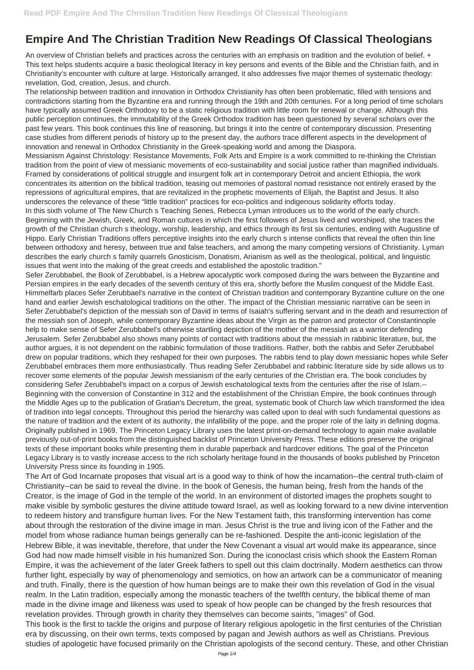## **Empire And The Christian Tradition New Readings Of Classical Theologians**

An overview of Christian beliefs and practices across the centuries with an emphasis on tradition and the evolution of belief. + This text helps students acquire a basic theological literacy in key persons and events of the Bible and the Christian faith, and in Christianity's encounter with culture at large. Historically arranged, it also addresses five major themes of systematic theology: revelation, God, creation, Jesus, and church.

The relationship between tradition and innovation in Orthodox Christianity has often been problematic, filled with tensions and contradictions starting from the Byzantine era and running through the 19th and 20th centuries. For a long period of time scholars have typically assumed Greek Orthodoxy to be a static religious tradition with little room for renewal or change. Although this public perception continues, the immutability of the Greek Orthodox tradition has been questioned by several scholars over the past few years. This book continues this line of reasoning, but brings it into the centre of contemporary discussion. Presenting case studies from different periods of history up to the present day, the authors trace different aspects in the development of innovation and renewal in Orthodox Christianity in the Greek-speaking world and among the Diaspora.

Messianism Against Christology: Resistance Movements, Folk Arts and Empire is a work committed to re-thinking the Christian tradition from the point of view of messianic movements of eco-sustainability and social justice rather than magnified individuals. Framed by considerations of political struggle and insurgent folk art in contemporary Detroit and ancient Ethiopia, the work concentrates its attention on the biblical tradition, teasing out memories of pastoral nomad resistance not entirely erased by the repressions of agricultural empires, that are revitalized in the prophetic movements of Elijah, the Baptist and Jesus. It also underscores the relevance of these "little tradition" practices for eco-politics and indigenous solidarity efforts today. In this sixth volume of The New Church s Teaching Series, Rebecca Lyman introduces us to the world of the early church. Beginning with the Jewish, Greek, and Roman cultures in which the first followers of Jesus lived and worshiped, she traces the growth of the Christian church s theology, worship, leadership, and ethics through its first six centuries, ending with Augustine of Hippo. Early Christian Traditions offers perceptive insights into the early church s intense conflicts that reveal the often thin line between orthodoxy and heresy, between true and false teachers, and among the many competing versions of Christianity. Lyman describes the early church s family quarrels Gnosticism, Donatism, Arianism as well as the theological, political, and linguistic issues that went into the making of the great creeds and established the apostolic tradition."

Sefer Zerubbabel, the Book of Zerubbabel, is a Hebrew apocalyptic work composed during the wars between the Byzantine and Persian empires in the early decades of the seventh century of this era, shortly before the Muslim conquest of the Middle East. Himmelfarb places Sefer Zerubbael's narrative in the context of Christian tradition and contemporary Byzantine culture on the one hand and earlier Jewish eschatological traditions on the other. The impact of the Christian messianic narrative can be seen in Sefer Zerubbabel's depiction of the messiah son of David in terms of Isaiah's suffering servant and in the death and resurrection of the messiah son of Joseph, while contemporary Byzantine ideas about the Virgin as the patron and protector of Constantinople help to make sense of Sefer Zerubbabel's otherwise startling depiction of the mother of the messiah as a warrior defending Jerusalem. Sefer Zerubbabel also shows many points of contact with traditions about the messiah in rabbinic literature, but, the author argues, it is not dependent on the rabbinic formulation of those traditions. Rather, both the rabbis and Sefer Zerubbabel drew on popular traditions, which they reshaped for their own purposes. The rabbis tend to play down messianic hopes while Sefer Zerubbabel embraces them more enthusiastically. Thus reading Sefer Zerubbabel and rabbinic literature side by side allows us to recover some elements of the popular Jewish messianism of the early centuries of the Christian era. The book concludes by considering Sefer Zerubbabel's impact on a corpus of Jewish eschatological texts from the centuries after the rise of Islam.-- Beginning with the conversion of Constantine in 312 and the establishment of the Christian Empire, the book continues through the Middle Ages up to the publication of Gratian's Decretum, the great, systematic book of Church law which transformed the idea of tradition into legal concepts. Throughout this period the hierarchy was called upon to deal with such fundamental questions as the nature of tradition and the extent of its authority, the infallibility of the pope, and the proper role of the laity in defining dogma. Originally published in 1969. The Princeton Legacy Library uses the latest print-on-demand technology to again make available previously out-of-print books from the distinguished backlist of Princeton University Press. These editions preserve the original texts of these important books while presenting them in durable paperback and hardcover editions. The goal of the Princeton Legacy Library is to vastly increase access to the rich scholarly heritage found in the thousands of books published by Princeton University Press since its founding in 1905.

The Art of God Incarnate proposes that visual art is a good way to think of how the incarnation--the central truth-claim of Christianity--can be said to reveal the divine. In the book of Genesis, the human being, fresh from the hands of the Creator, is the image of God in the temple of the world. In an environment of distorted images the prophets sought to make visible by symbolic gestures the divine attitude toward Israel, as well as looking forward to a new divine intervention to redeem history and transfigure human lives. For the New Testament faith, this transforming intervention has come about through the restoration of the divine image in man. Jesus Christ is the true and living icon of the Father and the model from whose radiance human beings generally can be re-fashioned. Despite the anti-iconic legislation of the Hebrew Bible, it was inevitable, therefore, that under the New Covenant a visual art would make its appearance, since God had now made himself visible in his humanized Son. During the iconoclast crisis which shook the Eastern Roman Empire, it was the achievement of the later Greek fathers to spell out this claim doctrinally. Modern aesthetics can throw further light, especially by way of phenomenology and semiotics, on how an artwork can be a communicator of meaning and truth. Finally, there is the question of how human beings are to make their own this revelation of God in the visual realm. In the Latin tradition, especially among the monastic teachers of the twelfth century, the biblical theme of man made in the divine image and likeness was used to speak of how people can be changed by the fresh resources that revelation provides. Through growth in charity they themselves can become saints, "images" of God. This book is the first to tackle the origins and purpose of literary religious apologetic in the first centuries of the Christian era by discussing, on their own terms, texts composed by pagan and Jewish authors as well as Christians. Previous studies of apologetic have focused primarily on the Christian apologists of the second century. These, and other Christian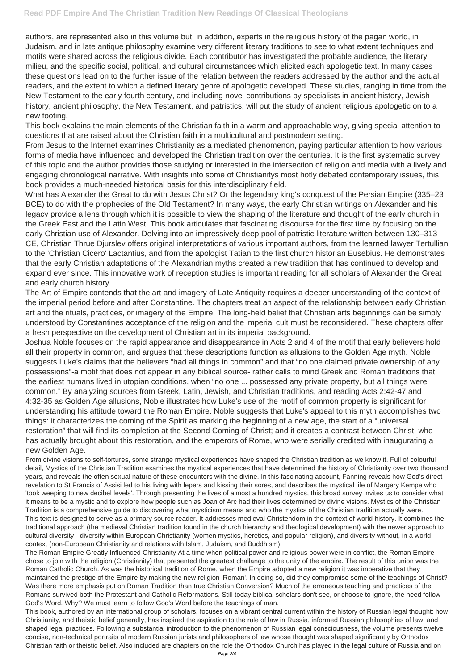authors, are represented also in this volume but, in addition, experts in the religious history of the pagan world, in Judaism, and in late antique philosophy examine very different literary traditions to see to what extent techniques and motifs were shared across the religious divide. Each contributor has investigated the probable audience, the literary milieu, and the specific social, political, and cultural circumstances which elicited each apologetic text. In many cases these questions lead on to the further issue of the relation between the readers addressed by the author and the actual readers, and the extent to which a defined literary genre of apologetic developed. These studies, ranging in time from the New Testament to the early fourth century, and including novel contributions by specialists in ancient history, Jewish history, ancient philosophy, the New Testament, and patristics, will put the study of ancient religious apologetic on to a new footing.

This book explains the main elements of the Christian faith in a warm and approachable way, giving special attention to questions that are raised about the Christian faith in a multicultural and postmodern setting.

From Jesus to the Internet examines Christianity as a mediated phenomenon, paying particular attention to how various forms of media have influenced and developed the Christian tradition over the centuries. It is the first systematic survey of this topic and the author provides those studying or interested in the intersection of religion and media with a lively and engaging chronological narrative. With insights into some of Christianitys most hotly debated contemporary issues, this book provides a much-needed historical basis for this interdisciplinary field.

What has Alexander the Great to do with Jesus Christ? Or the legendary king's conquest of the Persian Empire (335–23 BCE) to do with the prophecies of the Old Testament? In many ways, the early Christian writings on Alexander and his legacy provide a lens through which it is possible to view the shaping of the literature and thought of the early church in the Greek East and the Latin West. This book articulates that fascinating discourse for the first time by focusing on the early Christian use of Alexander. Delving into an impressively deep pool of patristic literature written between 130–313 CE, Christian Thrue Djurslev offers original interpretations of various important authors, from the learned lawyer Tertullian to the 'Christian Cicero' Lactantius, and from the apologist Tatian to the first church historian Eusebius. He demonstrates that the early Christian adaptations of the Alexandrian myths created a new tradition that has continued to develop and expand ever since. This innovative work of reception studies is important reading for all scholars of Alexander the Great and early church history.

The Art of Empire contends that the art and imagery of Late Antiquity requires a deeper understanding of the context of the imperial period before and after Constantine. The chapters treat an aspect of the relationship between early Christian art and the rituals, practices, or imagery of the Empire. The long-held belief that Christian arts beginnings can be simply understood by Constantines acceptance of the religion and the imperial cult must be reconsidered. These chapters offer a fresh perspective on the development of Christian art in its imperial background.

Joshua Noble focuses on the rapid appearance and disappearance in Acts 2 and 4 of the motif that early believers hold all their property in common, and argues that these descriptions function as allusions to the Golden Age myth. Noble suggests Luke's claims that the believers "had all things in common" and that "no one claimed private ownership of any possessions"-a motif that does not appear in any biblical source- rather calls to mind Greek and Roman traditions that the earliest humans lived in utopian conditions, when "no one ... possessed any private property, but all things were common." By analyzing sources from Greek, Latin, Jewish, and Christian traditions, and reading Acts 2:42-47 and 4:32-35 as Golden Age allusions, Noble illustrates how Luke's use of the motif of common property is significant for understanding his attitude toward the Roman Empire. Noble suggests that Luke's appeal to this myth accomplishes two things: it characterizes the coming of the Spirit as marking the beginning of a new age, the start of a "universal restoration" that will find its completion at the Second Coming of Christ; and it creates a contrast between Christ, who has actually brought about this restoration, and the emperors of Rome, who were serially credited with inaugurating a new Golden Age.

From divine visions to self-tortures, some strange mystical experiences have shaped the Christian tradition as we know it. Full of colourful detail, Mystics of the Christian Tradition examines the mystical experiences that have determined the history of Christianity over two thousand years, and reveals the often sexual nature of these encounters with the divine. In this fascinating account, Fanning reveals how God's direct revelation to St Francis of Assisi led to his living with lepers and kissing their sores, and describes the mystical life of Margery Kempe who 'took weeping to new decibel levels'. Through presenting the lives of almost a hundred mystics, this broad survey invites us to consider what it means to be a mystic and to explore how people such as Joan of Arc had their lives determined by divine visions. Mystics of the Christian

Tradition is a comprehensive guide to discovering what mysticism means and who the mystics of the Christian tradition actually were. This text is designed to serve as a primary source reader. It addresses medieval Christendom in the context of world history. It combines the traditional approach (the medieval Christian tradition found in the church hierarchy and theological development) with the newer approach to cultural diversity - diversity within European Christianity (women mystics, heretics, and popular religion), and diversity without, in a world context (non-European Christianity and relations with Islam, Judaism, and Buddhism).

The Roman Empire Greatly Influenced Christianity At a time when political power and religious power were in conflict, the Roman Empire chose to join with the religion (Christianity) that presented the greatest challange to the unity of the empire. The result of this union was the Roman Catholic Church. As was the historical tradition of Rome, when the Empire adopted a new religion it was imperative that they maintained the prestige of the Empire by making the new religion 'Roman'. In doing so, did they compromise some of the teachings of Christ? Was there more emphasis put on Roman Tradition than true Christian Conversion? Much of the erroneous teaching and practices of the Romans survived both the Protestant and Catholic Reformations. Still today biblical scholars don't see, or choose to ignore, the need follow God's Word. Why? We must learn to follow God's Word before the teachings of man.

This book, authored by an international group of scholars, focuses on a vibrant central current within the history of Russian legal thought: how Christianity, and theistic belief generally, has inspired the aspiration to the rule of law in Russia, informed Russian philosophies of law, and shaped legal practices. Following a substantial introduction to the phenomenon of Russian legal consciousness, the volume presents twelve concise, non-technical portraits of modern Russian jurists and philosophers of law whose thought was shaped significantly by Orthodox Christian faith or theistic belief. Also included are chapters on the role the Orthodox Church has played in the legal culture of Russia and on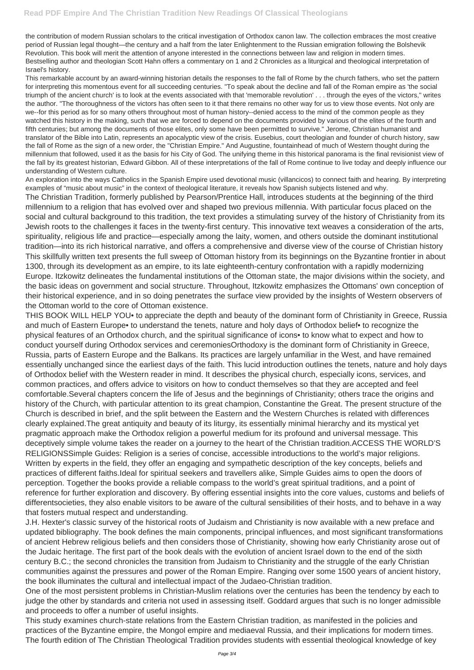the contribution of modern Russian scholars to the critical investigation of Orthodox canon law. The collection embraces the most creative period of Russian legal thought—the century and a half from the later Enlightenment to the Russian emigration following the Bolshevik Revolution. This book will merit the attention of anyone interested in the connections between law and religion in modern times. Bestselling author and theologian Scott Hahn offers a commentary on 1 and 2 Chronicles as a liturgical and theological interpretation of Israel's history.

This remarkable account by an award-winning historian details the responses to the fall of Rome by the church fathers, who set the pattern for interpreting this momentous event for all succeeding centuries. "To speak about the decline and fall of the Roman empire as 'the social triumph of the ancient church' is to look at the events associated with that 'memorable revolution' . . . through the eyes of the victors," writes the author. "The thoroughness of the victors has often seen to it that there remains no other way for us to view those events. Not only are we--for this period as for so many others throughout most of human history--denied access to the mind of the common people as they watched this history in the making, such that we are forced to depend on the documents provided by various of the elites of the fourth and fifth centuries; but among the documents of those elites, only some have been permitted to survive." Jerome, Christian humanist and translator of the Bible into Latin, represents an apocalyptic view of the crisis. Eusebius, court theologian and founder of church history, saw the fall of Rome as the sign of a new order, the "Christian Empire." And Augustine, fountainhead of much of Western thought during the millennium that followed, used it as the basis for his City of God. The unifying theme in this historical panorama is the final revisionist view of the fall by its greatest historian, Edward Gibbon. All of these interpretations of the fall of Rome continue to live today and deeply influence our understanding of Western culture.

An exploration into the ways Catholics in the Spanish Empire used devotional music (villancicos) to connect faith and hearing. By interpreting examples of "music about music" in the context of theological literature, it reveals how Spanish subjects listened and why. The Christian Tradition, formerly published by Pearson/Prentice Hall, introduces students at the beginning of the third millennium to a religion that has evolved over and shaped two previous millennia. With particular focus placed on the social and cultural background to this tradition, the text provides a stimulating survey of the history of Christianity from its Jewish roots to the challenges it faces in the twenty-first century. This innovative text weaves a consideration of the arts, spirituality, religious life and practice—especially among the laity, women, and others outside the dominant institutional tradition—into its rich historical narrative, and offers a comprehensive and diverse view of the course of Christian history This skillfully written text presents the full sweep of Ottoman history from its beginnings on the Byzantine frontier in about 1300, through its development as an empire, to its late eighteenth-century confrontation with a rapidly modernizing Europe. Itzkowitz delineates the fundamental institutions of the Ottoman state, the major divisions within the society, and the basic ideas on government and social structure. Throughout, Itzkowitz emphasizes the Ottomans' own conception of their historical experience, and in so doing penetrates the surface view provided by the insights of Western observers of the Ottoman world to the core of Ottoman existence.

THIS BOOK WILL HELP YOU• to appreciate the depth and beauty of the dominant form of Christianity in Greece, Russia and much of Eastern Europe• to understand the tenets, nature and holy days of Orthodox belief• to recognize the physical features of an Orthodox church, and the spiritual significance of icons• to know what to expect and how to conduct yourself during Orthodox services and ceremoniesOrthodoxy is the dominant form of Christianity in Greece, Russia, parts of Eastern Europe and the Balkans. Its practices are largely unfamiliar in the West, and have remained essentially unchanged since the earliest days of the faith. This lucid introduction outlines the tenets, nature and holy days of Orthodox belief with the Western reader in mind. It describes the physical church, especially icons, services, and common practices, and offers advice to visitors on how to conduct themselves so that they are accepted and feel comfortable.Several chapters concern the life of Jesus and the beginnings of Christianity; others trace the origins and history of the Church, with particular attention to its great champion, Constantine the Great. The present structure of the Church is described in brief, and the split between the Eastern and the Western Churches is related with differences clearly explained.The great antiquity and beauty of its liturgy, its essentially minimal hierarchy and its mystical yet pragmatic approach make the Orthodox religion a powerful medium for its profound and universal message. This deceptively simple volume takes the reader on a journey to the heart of the Christian tradition. ACCESS THE WORLD'S RELIGIONSSimple Guides: Religion is a series of concise, accessible introductions to the world's major religions. Written by experts in the field, they offer an engaging and sympathetic description of the key concepts, beliefs and practices of different faiths.Ideal for spiritual seekers and travellers alike, Simple Guides aims to open the doors of perception. Together the books provide a reliable compass to the world's great spiritual traditions, and a point of reference for further exploration and discovery. By offering essential insights into the core values, customs and beliefs of differentsocieties, they also enable visitors to be aware of the cultural sensibilities of their hosts, and to behave in a way that fosters mutual respect and understanding. J.H. Hexter's classic survey of the historical roots of Judaism and Christianity is now available with a new preface and updated bibliography. The book defines the main components, principal influences, and most significant transformations of ancient Hebrew religious beliefs and then considers those of Christianity, showing how early Christianity arose out of the Judaic heritage. The first part of the book deals with the evolution of ancient Israel down to the end of the sixth century B.C.; the second chronicles the transition from Judaism to Christianity and the struggle of the early Christian communities against the pressures and power of the Roman Empire. Ranging over some 1500 years of ancient history, the book illuminates the cultural and intellectual impact of the Judaeo-Christian tradition.

One of the most persistent problems in Christian-Muslim relations over the centuries has been the tendency by each to judge the other by standards and criteria not used in assessing itself. Goddard argues that such is no longer admissible and proceeds to offer a number of useful insights.

This study examines church-state relations from the Eastern Christian tradition, as manifested in the policies and practices of the Byzantine empire, the Mongol empire and mediaeval Russia, and their implications for modern times. The fourth edition of The Christian Theological Tradition provides students with essential theological knowledge of key